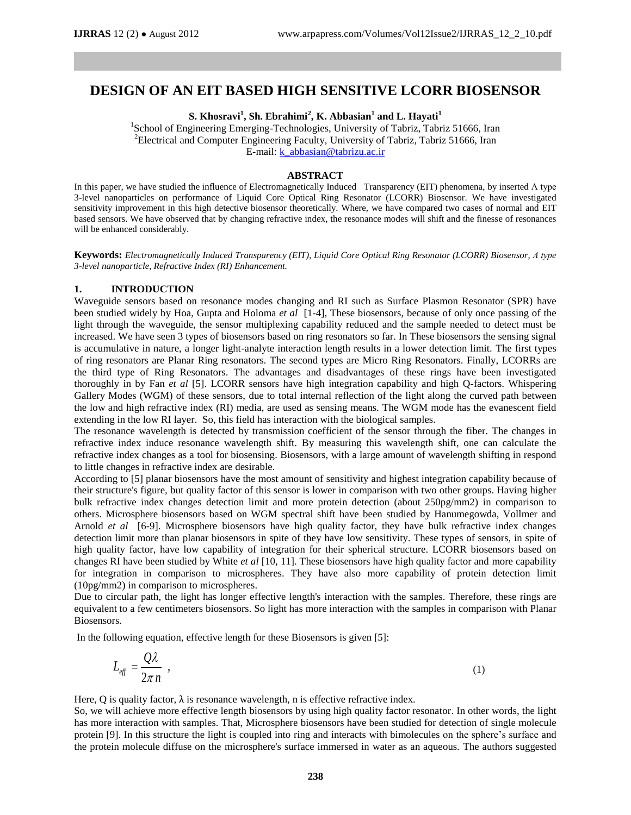# **DESIGN OF AN EIT BASED HIGH SENSITIVE LCORR BIOSENSOR**

**S. Khosravi<sup>1</sup> , Sh. Ebrahimi<sup>2</sup> , K. Abbasian<sup>1</sup> and L. Hayati<sup>1</sup>**

<sup>1</sup>School of Engineering Emerging-Technologies, University of Tabriz, Tabriz 51666, Iran <sup>2</sup>Electrical and Computer Engineering Faculty, University of Tabriz, Tabriz 51666, Iran E-mail: [k\\_abbasian@tabrizu.ac.ir](mailto:k_abbasian@tabrizu.ac.ir)

#### **ABSTRACT**

In this paper, we have studied the influence of Electromagnetically Induced Transparency (EIT) phenomena, by inserted Λ type 3-level nanoparticles on performance of Liquid Core Optical Ring Resonator (LCORR) Biosensor. We have investigated sensitivity improvement in this high detective biosensor theoretically. Where, we have compared two cases of normal and EIT based sensors. We have observed that by changing refractive index, the resonance modes will shift and the finesse of resonances will be enhanced considerably.

**Keywords:** *Electromagnetically Induced Transparency (EIT), Liquid Core Optical Ring Resonator (LCORR) Biosensor, Λ type 3-level nanoparticle, Refractive Index (RI) Enhancement.*

### **1. INTRODUCTION**

Waveguide sensors based on resonance modes changing and RI such as Surface Plasmon Resonator (SPR) have been studied widely by Hoa, Gupta and Holoma *et al* [1-4], These biosensors, because of only once passing of the light through the waveguide, the sensor multiplexing capability reduced and the sample needed to detect must be increased. We have seen 3 types of biosensors based on ring resonators so far. In These biosensors the sensing signal is accumulative in nature, a longer light-analyte interaction length results in a lower detection limit. The first types of ring resonators are Planar Ring resonators. The second types are Micro Ring Resonators. Finally, LCORRs are the third type of Ring Resonators. The advantages and disadvantages of these rings have been investigated thoroughly in by Fan *et al* [5]. LCORR sensors have high integration capability and high Q-factors. Whispering Gallery Modes (WGM) of these sensors, due to total internal reflection of the light along the curved path between the low and high refractive index (RI) media, are used as sensing means. The WGM mode has the evanescent field extending in the low RI layer. So, this field has interaction with the biological samples.

The resonance wavelength is detected by transmission coefficient of the sensor through the fiber. The changes in refractive index induce resonance wavelength shift. By measuring this wavelength shift, one can calculate the refractive index changes as a tool for biosensing. Biosensors, with a large amount of wavelength shifting in respond to little changes in refractive index are desirable.

According to [5] planar biosensors have the most amount of sensitivity and highest integration capability because of their structure's figure, but quality factor of this sensor is lower in comparison with two other groups. Having higher bulk refractive index changes detection limit and more protein detection (about 250pg/mm2) in comparison to others. Microsphere biosensors based on WGM spectral shift have been studied by Hanumegowda, Vollmer and Arnold *et al* [6-9]. Microsphere biosensors have high quality factor, they have bulk refractive index changes detection limit more than planar biosensors in spite of they have low sensitivity. These types of sensors, in spite of high quality factor, have low capability of integration for their spherical structure. LCORR biosensors based on changes RI have been studied by White *et al* [10, 11]. These biosensors have high quality factor and more capability for integration in comparison to microspheres. They have also more capability of protein detection limit (10pg/mm2) in comparison to microspheres.

Due to circular path, the light has longer effective length's interaction with the samples. Therefore, these rings are equivalent to a few centimeters biosensors. So light has more interaction with the samples in comparison with Planar Biosensors.

In the following equation, effective length for these Biosensors is given [5]:

$$
L_{\text{eff}} = \frac{Q\lambda}{2\pi n} \tag{1}
$$

Here, Q is quality factor,  $\lambda$  is resonance wavelength, n is effective refractive index.

So, we will achieve more effective length biosensors by using high quality factor resonator. In other words, the light has more interaction with samples. That, Microsphere biosensors have been studied for detection of single molecule protein [9]. In this structure the light is coupled into ring and interacts with bimolecules on the sphere's surface and the protein molecule diffuse on the microsphere's surface immersed in water as an aqueous. The authors suggested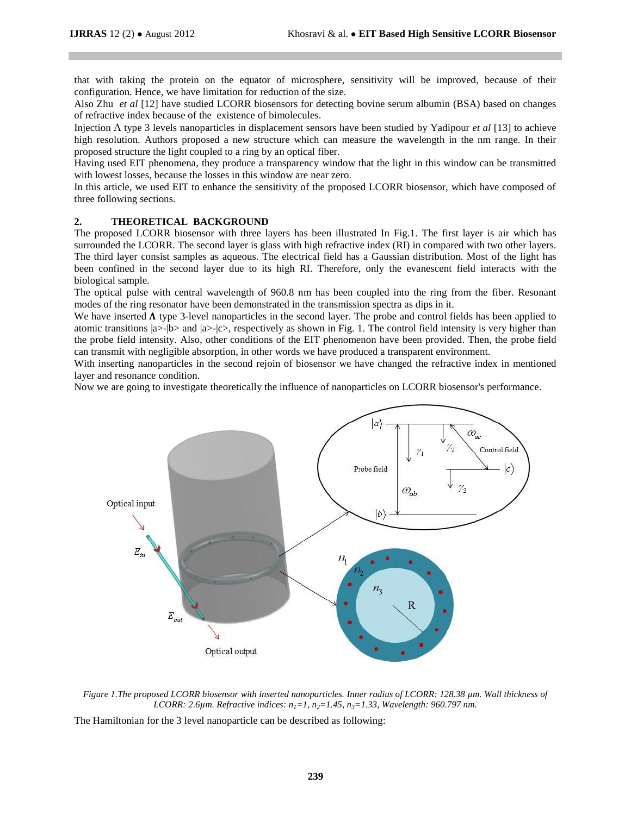that with taking the protein on the equator of microsphere, sensitivity will be improved, because of their configuration. Hence, we have limitation for reduction of the size.

Also Zhu *et al* [12] have studied LCORR biosensors for detecting bovine serum albumin (BSA) based on changes of refractive index because of the existence of bimolecules.

Injection Λ type 3 levels nanoparticles in displacement sensors have been studied by Yadipour *et al* [13] to achieve high resolution. Authors proposed a new structure which can measure the wavelength in the nm range. In their proposed structure the light coupled to a ring by an optical fiber.

Having used EIT phenomena, they produce a transparency window that the light in this window can be transmitted with lowest losses, because the losses in this window are near zero.

In this article, we used EIT to enhance the sensitivity of the proposed LCORR biosensor, which have composed of three following sections.

## **2. THEORETICAL BACKGROUND**

The proposed LCORR biosensor with three layers has been illustrated In Fig.1. The first layer is air which has surrounded the LCORR. The second layer is glass with high refractive index (RI) in compared with two other layers. The third layer consist samples as aqueous. The electrical field has a Gaussian distribution. Most of the light has been confined in the second layer due to its high RI. Therefore, only the evanescent field interacts with the biological sample.

The optical pulse with central wavelength of 960.8 nm has been coupled into the ring from the fiber. Resonant modes of the ring resonator have been demonstrated in the transmission spectra as dips in it.

We have inserted  $\Lambda$  type 3-level nanoparticles in the second layer. The probe and control fields has been applied to atomic transitions  $|a\rangle - b\rangle$  and  $|a\rangle - c\rangle$ , respectively as shown in Fig. 1. The control field intensity is very higher than the probe field intensity. Also, other conditions of the EIT phenomenon have been provided. Then, the probe field can transmit with negligible absorption, in other words we have produced a transparent environment.

With inserting nanoparticles in the second rejoin of biosensor we have changed the refractive index in mentioned layer and resonance condition.

Now we are going to investigate theoretically the influence of nanoparticles on LCORR biosensor's performance.



*Figure 1.The proposed LCORR biosensor with inserted nanoparticles. Inner radius of LCORR: 128.38 µm. Wall thickness of LCORR: 2.6µm. Refractive indices: n1=1, n2=1.45, n3=1.33, Wavelength: 960.797 nm*.

The Hamiltonian for the 3 level nanoparticle can be described as following: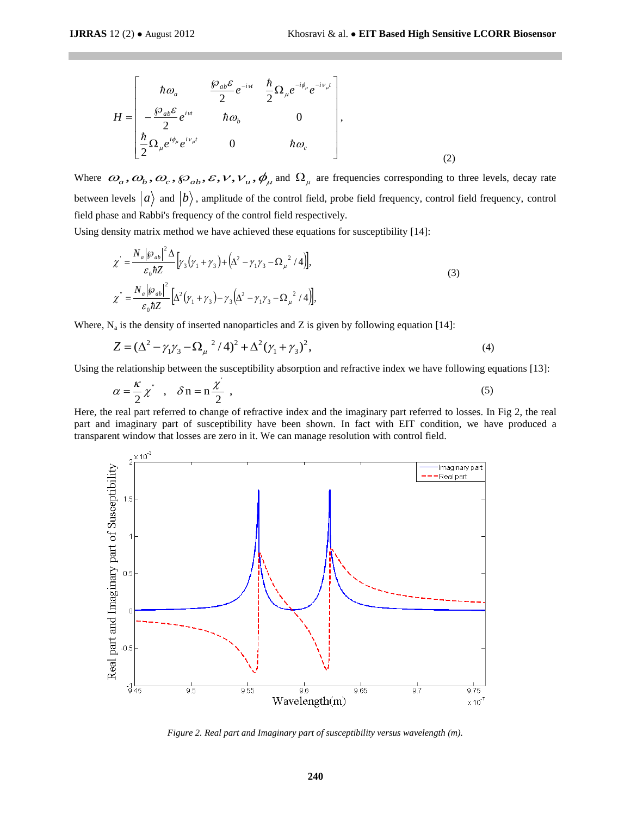$$
H = \begin{bmatrix} \hbar \omega_a & \frac{\wp_{ab} \varepsilon}{2} e^{-i \nu} & \frac{\hbar}{2} \Omega_\mu e^{-i \phi_\mu} e^{-i \nu_\mu t} \\ -\frac{\wp_{ab} \varepsilon}{2} e^{i \nu} & \hbar \omega_b & 0 \\ \frac{\hbar}{2} \Omega_\mu e^{i \phi_\mu} e^{i \nu_\mu t} & 0 & \hbar \omega_c \end{bmatrix},
$$
\n(2)

Where  $\omega_a, \omega_b, \omega_c, \wp_{ab}, \varepsilon, \nu, \nu_u, \phi_\mu$  and  $\Omega_\mu$  are frequencies corresponding to three levels, decay rate between levels  $|a\rangle$  and  $|b\rangle$ , amplitude of the control field, probe field frequency, control field frequency, control field phase and Rabbi's frequency of the control field respectively.

Using density matrix method we have achieved these equations for susceptibility [14]:

$$
\chi = \frac{N_a |\wp_{ab}|^2 \Delta}{\varepsilon_0 \hbar Z} \Big[ \gamma_3 (\gamma_1 + \gamma_3) + \Big( \Delta^2 - \gamma_1 \gamma_3 - \Omega_\mu^2 / 4 \Big) \Big],
$$
  
\n
$$
\chi = \frac{N_a |\wp_{ab}|^2}{\varepsilon_0 \hbar Z} \Big[ \Delta^2 (\gamma_1 + \gamma_3) - \gamma_3 \Big( \Delta^2 - \gamma_1 \gamma_3 - \Omega_\mu^2 / 4 \Big) \Big],
$$
\n(3)

Where, N<sub>a</sub> is the density of inserted nanoparticles and Z is given by following equation [14]:  
\n
$$
Z = (\Delta^2 - \gamma_1 \gamma_3 - \Omega_\mu^2 / 4)^2 + \Delta^2 (\gamma_1 + \gamma_3)^2,
$$
\n(4)

Using the relationship between the susceptibility absorption and refractive index we have following equations [13]:

$$
\alpha = \frac{\kappa}{2} \chi^{\dagger} , \quad \delta \mathbf{n} = \mathbf{n} \frac{\chi}{2} , \tag{5}
$$

Here, the real part referred to change of refractive index and the imaginary part referred to losses. In Fig 2, the real part and imaginary part of susceptibility have been shown. In fact with EIT condition, we have produced a transparent window that losses are zero in it. We can manage resolution with control field.



*Figure 2. Real part and Imaginary part of susceptibility versus wavelength (m).*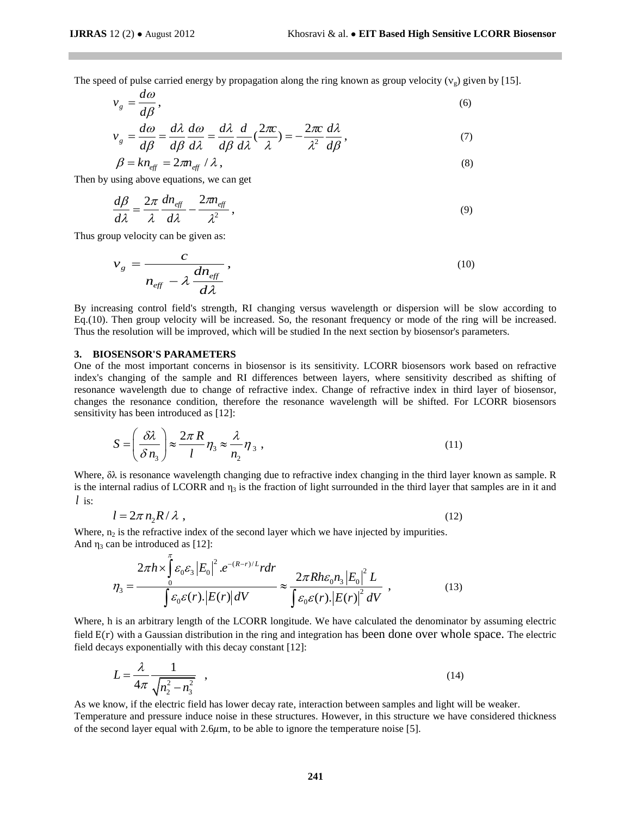The speed of pulse carried energy by propagation along the ring known as group velocity  $(v_{\nu})$  given by [15].

$$
v_g = \frac{d\omega}{d\beta},\tag{6}
$$

$$
v_g = \frac{d\omega}{d\beta} = \frac{d\lambda}{d\beta}\frac{d\omega}{d\lambda} = \frac{d\lambda}{d\beta}\frac{d}{d\lambda}\left(\frac{2\pi c}{\lambda}\right) = -\frac{2\pi c}{\lambda^2}\frac{d\lambda}{d\beta},\tag{7}
$$

$$
\beta = k n_{\text{eff}} = 2\pi n_{\text{eff}} / \lambda \,, \tag{8}
$$

Then by using above equations, we can get

$$
\frac{d\beta}{d\lambda} = \frac{2\pi}{\lambda} \frac{dn_{\text{eff}}}{d\lambda} - \frac{2\pi n_{\text{eff}}}{\lambda^2},\tag{9}
$$

Thus group velocity can be given as:

$$
v_g = \frac{c}{n_{\text{eff}}} \frac{dn_{\text{eff}}}{d\lambda},\tag{10}
$$

By increasing control field's strength, RI changing versus wavelength or dispersion will be slow according to Eq.(10). Then group velocity will be increased. So, the resonant frequency or mode of the ring will be increased. Thus the resolution will be improved, which will be studied In the next section by biosensor's parameters.

### **3. BIOSENSOR'S PARAMETERS**

 $\pi$ 

One of the most important concerns in biosensor is its sensitivity. LCORR biosensors work based on refractive index's changing of the sample and RI differences between layers, where sensitivity described as shifting of resonance wavelength due to change of refractive index. Change of refractive index in third layer of biosensor, changes the resonance condition, therefore the resonance wavelength will be shifted. For LCORR biosensors sensitivity has been introduced as [12]:

$$
S = \left(\frac{\delta \lambda}{\delta n_3}\right) \approx \frac{2\pi R}{l} \eta_3 \approx \frac{\lambda}{n_2} \eta_3,
$$
\n(11)

Where, δλ is resonance wavelength changing due to refractive index changing in the third layer known as sample. R is the internal radius of LCORR and  $\eta_3$  is the fraction of light surrounded in the third layer that samples are in it and *l* is:

$$
l = 2\pi n_2 R / \lambda \tag{12}
$$

Where,  $n_2$  is the refractive index of the second layer which we have injected by impurities. where,  $n_2$  is the refractive matex of the second ray<br>And  $n_3$  can be introduced as [12]:<br> $2\pi h \times \int_{0}^{\pi} \varepsilon_0 \varepsilon_3 |E_0|^2 e^{-(R-r)/L} r dr$ 

an be introduced as [12]:  
\n
$$
\eta_3 = \frac{2\pi h \times \int_0^{\pi} \varepsilon_0 \varepsilon_3 |E_0|^2 \cdot e^{-(R-r)/L} r dr}{\int \varepsilon_0 \varepsilon(r) \cdot |E(r)| dV} \approx \frac{2\pi R h \varepsilon_0 n_3 |E_0|^2 L}{\int \varepsilon_0 \varepsilon(r) \cdot |E(r)|^2 dV},
$$
\n(13)

Where, h is an arbitrary length of the LCORR longitude. We have calculated the denominator by assuming electric field E(r) with a Gaussian distribution in the ring and integration has been done over whole space. The electric field decays exponentially with this decay constant [12]:

$$
L = \frac{\lambda}{4\pi} \frac{1}{\sqrt{n_2^2 - n_3^2}} \quad , \tag{14}
$$

As we know, if the electric field has lower decay rate, interaction between samples and light will be weaker.

Temperature and pressure induce noise in these structures. However, in this structure we have considered thickness of the second layer equal with  $2.6\mu$ m, to be able to ignore the temperature noise [5].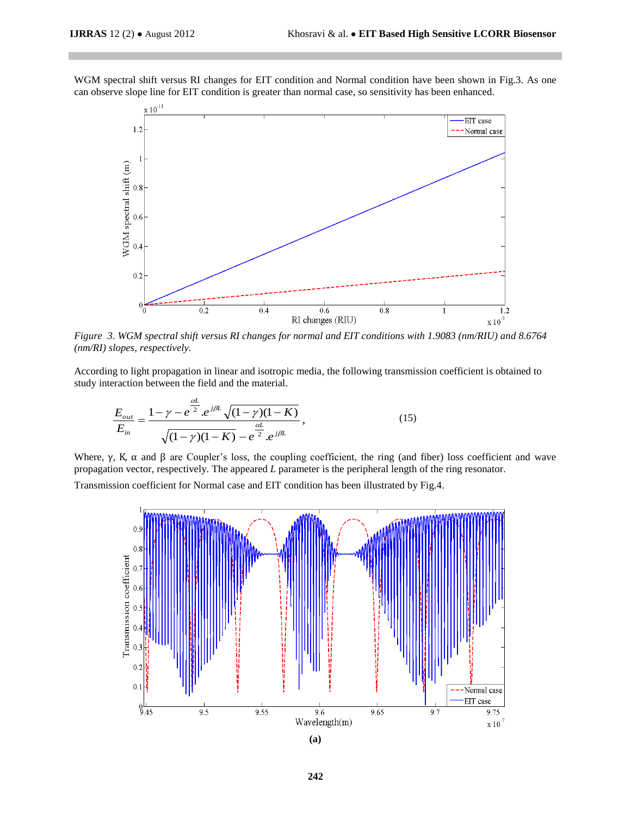WGM spectral shift versus RI changes for EIT condition and Normal condition have been shown in Fig.3. As one can observe slope line for EIT condition is greater than normal case, so sensitivity has been enhanced.



*Figure 3. WGM spectral shift versus RI changes for normal and EIT conditions with 1.9083 (nm/RIU) and 8.6764 (nm/RI) slopes, respectively.*

According to light propagation in linear and isotropic media, the following transmission coefficient is obtained to study interaction between the field and the material.

$$
\frac{E_{out}}{E_{in}} = \frac{1 - \gamma - e^{\frac{\alpha L}{2}} e^{j\beta L} \sqrt{(1 - \gamma)(1 - K)}}{\sqrt{(1 - \gamma)(1 - K)} - e^{\frac{\alpha L}{2}} e^{j\beta L}},
$$
\n(15)

Where, γ, Κ, α and β are Coupler's loss, the coupling coefficient, the ring (and fiber) loss coefficient and wave propagation vector, respectively. The appeared *L* parameter is the peripheral length of the ring resonator.

Transmission coefficient for Normal case and EIT condition has been illustrated by Fig.4.